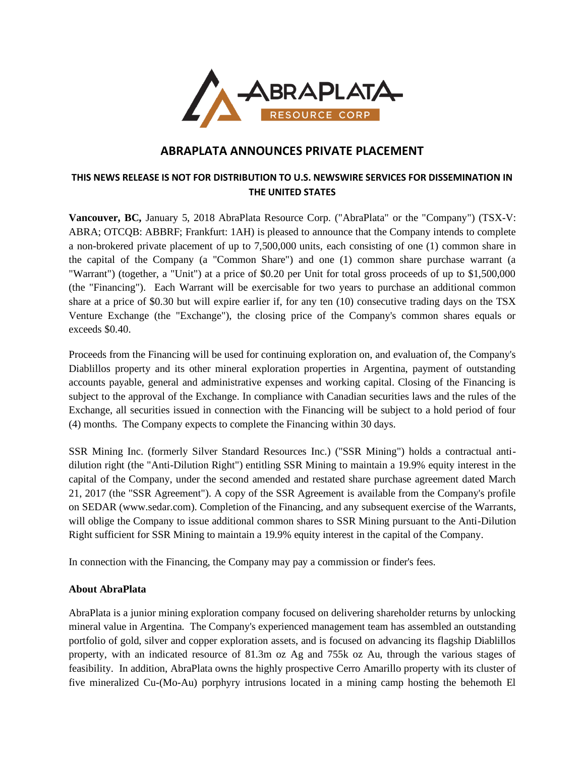

# **ABRAPLATA ANNOUNCES PRIVATE PLACEMENT**

## **THIS NEWS RELEASE IS NOT FOR DISTRIBUTION TO U.S. NEWSWIRE SERVICES FOR DISSEMINATION IN THE UNITED STATES**

**Vancouver, BC,** January 5, 2018 AbraPlata Resource Corp. ("AbraPlata" or the "Company") (TSX-V: ABRA; OTCQB: ABBRF; Frankfurt: 1AH) is pleased to announce that the Company intends to complete a non-brokered private placement of up to 7,500,000 units, each consisting of one (1) common share in the capital of the Company (a "Common Share") and one (1) common share purchase warrant (a "Warrant") (together, a "Unit") at a price of \$0.20 per Unit for total gross proceeds of up to \$1,500,000 (the "Financing"). Each Warrant will be exercisable for two years to purchase an additional common share at a price of \$0.30 but will expire earlier if, for any ten (10) consecutive trading days on the TSX Venture Exchange (the "Exchange"), the closing price of the Company's common shares equals or exceeds \$0.40.

Proceeds from the Financing will be used for continuing exploration on, and evaluation of, the Company's Diablillos property and its other mineral exploration properties in Argentina, payment of outstanding accounts payable, general and administrative expenses and working capital. Closing of the Financing is subject to the approval of the Exchange. In compliance with Canadian securities laws and the rules of the Exchange, all securities issued in connection with the Financing will be subject to a hold period of four (4) months. The Company expects to complete the Financing within 30 days.

SSR Mining Inc. (formerly Silver Standard Resources Inc.) ("SSR Mining") holds a contractual antidilution right (the "Anti-Dilution Right") entitling SSR Mining to maintain a 19.9% equity interest in the capital of the Company, under the second amended and restated share purchase agreement dated March 21, 2017 (the "SSR Agreement"). A copy of the SSR Agreement is available from the Company's profile on SEDAR (www.sedar.com). Completion of the Financing, and any subsequent exercise of the Warrants, will oblige the Company to issue additional common shares to SSR Mining pursuant to the Anti-Dilution Right sufficient for SSR Mining to maintain a 19.9% equity interest in the capital of the Company.

In connection with the Financing, the Company may pay a commission or finder's fees.

#### **About AbraPlata**

AbraPlata is a junior mining exploration company focused on delivering shareholder returns by unlocking mineral value in Argentina. The Company's experienced management team has assembled an outstanding portfolio of gold, silver and copper exploration assets, and is focused on advancing its flagship Diablillos property, with an indicated resource of 81.3m oz Ag and 755k oz Au, through the various stages of feasibility. In addition, AbraPlata owns the highly prospective Cerro Amarillo property with its cluster of five mineralized Cu-(Mo-Au) porphyry intrusions located in a mining camp hosting the behemoth El